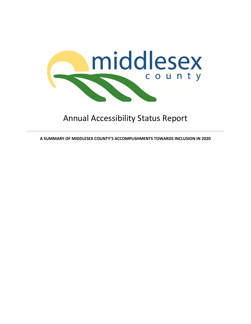

# Annual Accessibility Status Report

**A SUMMARY OF MIDDLESEX COUNTY'S ACCOMPLISHMENTS TOWARDS INCLUSION IN 2020**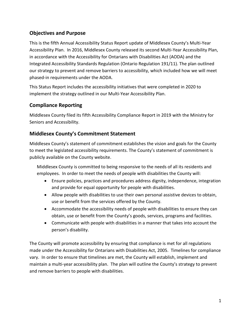## **Objectives and Purpose**

This is the fifth Annual Accessibility Status Report update of Middlesex County's Multi-Year Accessibility Plan. In 2016, Middlesex County released its second Multi-Year Accessibility Plan, in accordance with the Accessibility for Ontarians with Disabilities Act (AODA) and the Integrated Accessibility Standards Regulation (Ontario Regulation 191/11). The plan outlined our strategy to prevent and remove barriers to accessibility, which included how we will meet phased-in requirements under the AODA.

This Status Report includes the accessibility initiatives that were completed in 2020 to implement the strategy outlined in our Multi-Year Accessibility Plan.

## **Compliance Reporting**

Middlesex County filed its fifth Accessibility Compliance Report in 2019 with the Ministry for Seniors and Accessibility.

#### **Middlesex County's Commitment Statement**

Middlesex County's statement of commitment establishes the vision and goals for the County to meet the legislated accessibility requirements. The County's statement of commitment is publicly available on the County website.

Middlesex County is committed to being responsive to the needs of all its residents and employees. In order to meet the needs of people with disabilities the County will:

- Ensure policies, practices and procedures address dignity, independence, integration and provide for equal opportunity for people with disabilities.
- Allow people with disabilities to use their own personal assistive devices to obtain, use or benefit from the services offered by the County.
- Accommodate the accessibility needs of people with disabilities to ensure they can obtain, use or benefit from the County's goods, services, programs and facilities.
- Communicate with people with disabilities in a manner that takes into account the person's disability.

The County will promote accessibility by ensuring that compliance is met for all regulations made under the Accessibility for Ontarians with Disabilities Act, 2005. Timelines for compliance vary. In order to ensure that timelines are met, the County will establish, implement and maintain a multi-year accessibility plan. The plan will outline the County's strategy to prevent and remove barriers to people with disabilities.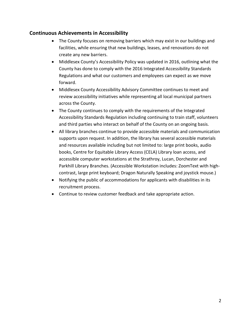#### **Continuous Achievements in Accessibility**

- The County focuses on removing barriers which may exist in our buildings and facilities, while ensuring that new buildings, leases, and renovations do not create any new barriers.
- Middlesex County's Accessibility Policy was updated in 2016, outlining what the County has done to comply with the 2016 Integrated Accessibility Standards Regulations and what our customers and employees can expect as we move forward.
- Middlesex County Accessibility Advisory Committee continues to meet and review accessibility initiatives while representing all local municipal partners across the County.
- The County continues to comply with the requirements of the Integrated Accessibility Standards Regulation including continuing to train staff, volunteers and third parties who interact on behalf of the County on an ongoing basis.
- All library branches continue to provide accessible materials and communication supports upon request. In addition, the library has several accessible materials and resources available including but not limited to: large print books, audio books, Centre for Equitable Library Access (CELA) Library loan access, and accessible computer workstations at the Strathroy, Lucan, Dorchester and Parkhill Library Branches. (Accessible Workstation includes: ZoomText with highcontrast, large print keyboard; Dragon Naturally Speaking and joystick mouse.)
- Notifying the public of accommodations for applicants with disabilities in its recruitment process.
- Continue to review customer feedback and take appropriate action.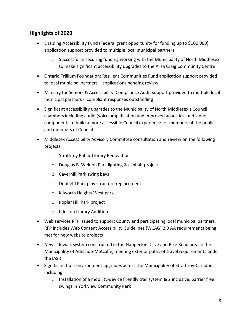## **Highlights of 2020**

- Enabling Accessibility Fund (Federal grant opportunity for funding up to \$100,000) application support provided to multiple local municipal partners
	- $\circ$  Successful in securing funding working with the Municipality of North Middlesex to make significant accessibility upgrades to the Ailsa Craig Community Centre
- Ontario Trillium Foundation: Resilient Communities Fund application support provided to local municipal partners – applications pending review
- Ministry for Seniors & Accessibility Compliance Audit support provided to multiple local municipal partners - compliant responses outstanding
- Significant accessibility upgrades to the Municipality of North Middlesex's Council chambers including audio (voice amplification and improved acoustics) and video components to build a more accessible Council experience for members of the public and members of Council
- Middlesex Accessibility Advisory Committee consultation and review on the following projects:
	- o Strathroy Public Library Renovation
	- o Douglas B. Weldon Park lighting & asphalt project
	- o Caverhill Park swing bays
	- o Denfield Park play structure replacement
	- o Kilworth Heights West park
	- o Poplar Hill Park project
	- o Ilderton Library Addition
- Web services RFP issued to support County and participating local municipal partners. RFP includes Web Content Accessibility Guidelines (WCAG) 2.0 AA requirements being met for new website projects
- New sidewalk system constructed in the Napperton Drive and Pike Road area in the Municipality of Adelaide-Metcalfe, meeting exterior paths of travel requirements under the IASR
- Significant built environment upgrades across the Municipality of Strathroy-Caradoc including
	- $\circ$  Installation of a mobility-device friendly trail system & 2 inclusive, barrier free swings in Yorkview Community Park